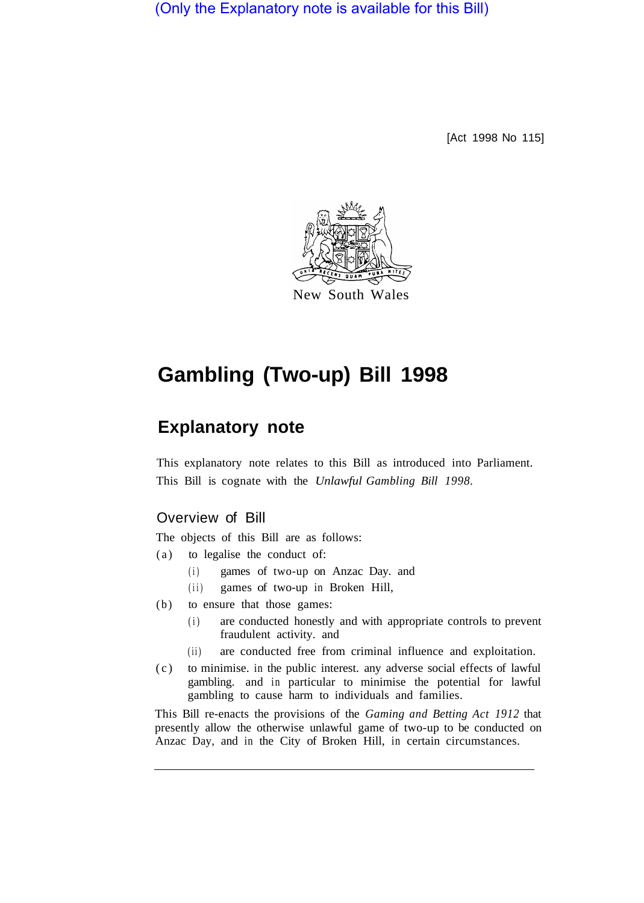(Only the Explanatory note is available for this Bill)

[Act 1998 No 115]



# **Gambling (Two-up) Bill 1998**

# **Explanatory note**

This explanatory note relates to this Bill as introduced into Parliament. This Bill is cognate with the *Unlawful Gambling Bill 1998.* 

## Overview of Bill

The objects of this Bill are as follows:

- (a) to legalise the conduct of:
	- (i) games of two-up on Anzac Day. and
	- (ii) games of two-up in Broken Hill,
- (b) to ensure that those games:
	- (i) are conducted honestly and with appropriate controls to prevent fraudulent activity. and
	- (ii) are conducted free from criminal influence and exploitation.
- (c) to minimise. in the public interest. any adverse social effects of lawful gambling. and in particular to minimise the potential for lawful gambling to cause harm to individuals and families.

This Bill re-enacts the provisions of the *Gaming and Betting Act 1912* that presently allow the otherwise unlawful game of two-up to be conducted on Anzac Day, and in the City of Broken Hill, in certain circumstances.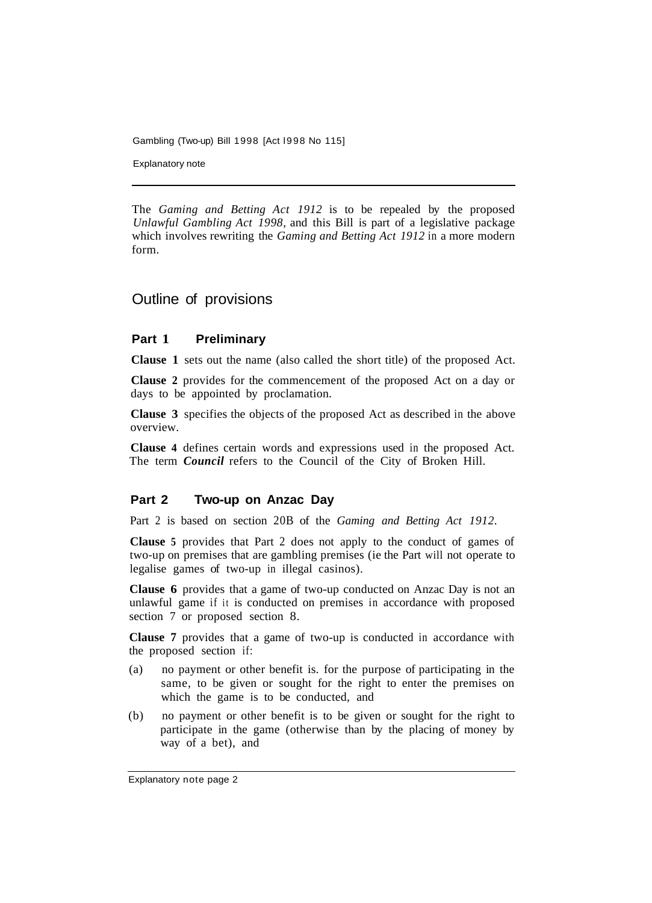Gambling (Two-up) Bill 1998 [Act l998 No 115]

Explanatory note

The *Gaming and Betting Act 1912* is to be repealed by the proposed *Unlawful Gambling Act 1998,* and this Bill is part of a legislative package which involves rewriting the *Gaming and Betting Act 1912* in a more modern form.

### Outline of provisions

#### **Part 1 Preliminary**

**Clause 1** sets out the name (also called the short title) of the proposed Act.

**Clause 2** provides for the commencement of the proposed Act on a day or days to be appointed by proclamation.

**Clause 3** specifies the objects of the proposed Act as described in the above overview.

**Clause 4** defines certain words and expressions used in the proposed Act. The term *Council* refers to the Council of the City of Broken Hill.

#### **Part 2 Two-up on Anzac Day**

Part 2 is based on section 20B of the *Gaming and Betting Act 1912.* 

**Clause 5** provides that Part 2 does not apply to the conduct of games of two-up on premises that are gambling premises (ie the Part will not operate to legalise games of two-up in illegal casinos).

**Clause 6** provides that a game of two-up conducted on Anzac Day is not an unlawful game if it is conducted on premises in accordance with proposed section 7 or proposed section 8.

**Clause 7** provides that a game of two-up is conducted in accordance with the proposed section if:

- (a) no payment or other benefit is. for the purpose of participating in the same, to be given or sought for the right to enter the premises on which the game is to be conducted, and
- (b) no payment or other benefit is to be given or sought for the right to participate in the game (otherwise than by the placing of money by way of a bet), and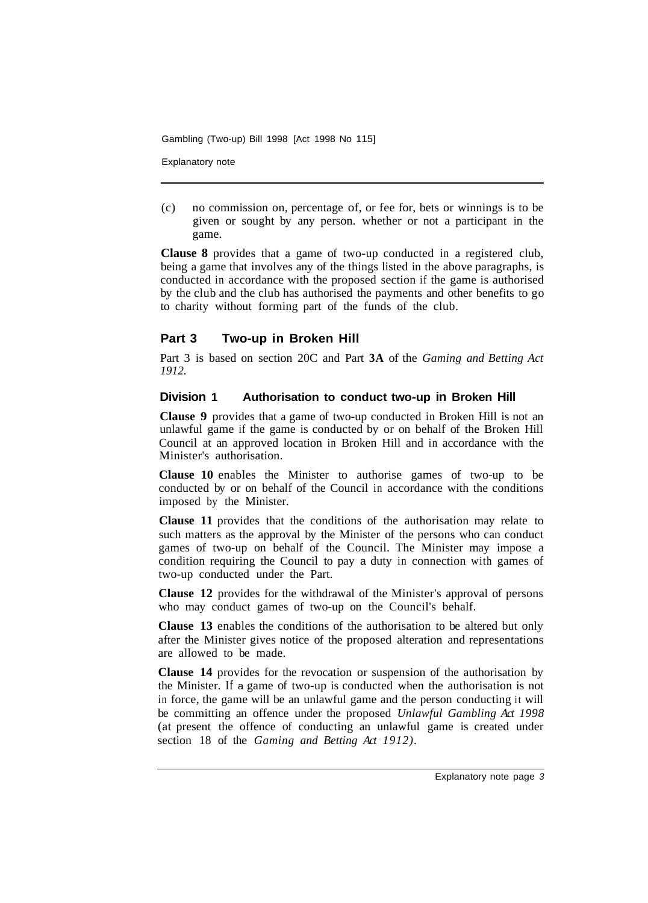Gambling (Two-up) Bill 1998 [Act 1998 No 115]

Explanatory note

(c) no commission on, percentage of, or fee for, bets or winnings is to be given or sought by any person. whether or not a participant in the game.

**Clause 8** provides that a game of two-up conducted in a registered club, being a game that involves any of the things listed in the above paragraphs, is conducted in accordance with the proposed section if the game is authorised by the club and the club has authorised the payments and other benefits to go to charity without forming part of the funds of the club.

#### **Part 3 Two-up in Broken Hill**

Part 3 is based on section 20C and Part **3A** of the *Gaming and Betting Act 1912.* 

#### **Division 1 Authorisation to conduct two-up in Broken Hill**

**Clause 9** provides that a game of two-up conducted in Broken Hill is not an unlawful game if the game is conducted by or on behalf of the Broken Hill Council at an approved location in Broken Hill and in accordance with the Minister's authorisation.

**Clause 10** enables the Minister to authorise games of two-up to be conducted by or on behalf of the Council in accordance with the conditions imposed by the Minister.

**Clause 11** provides that the conditions of the authorisation may relate to such matters as the approval by the Minister of the persons who can conduct games of two-up on behalf of the Council. The Minister may impose a condition requiring the Council to pay a duty in connection with games of two-up conducted under the Part.

**Clause 12** provides for the withdrawal of the Minister's approval of persons who may conduct games of two-up on the Council's behalf.

**Clause 13** enables the conditions of the authorisation to be altered but only after the Minister gives notice of the proposed alteration and representations are allowed to be made.

**Clause 14** provides for the revocation or suspension of the authorisation by the Minister. If a game of two-up is conducted when the authorisation is not in force, the game will be an unlawful game and the person conducting it will be committing an offence under the proposed *Unlawful Gambling Act 1998*  (at present the offence of conducting an unlawful game is created under section 18 of the *Gaming and Betting Act 1912).*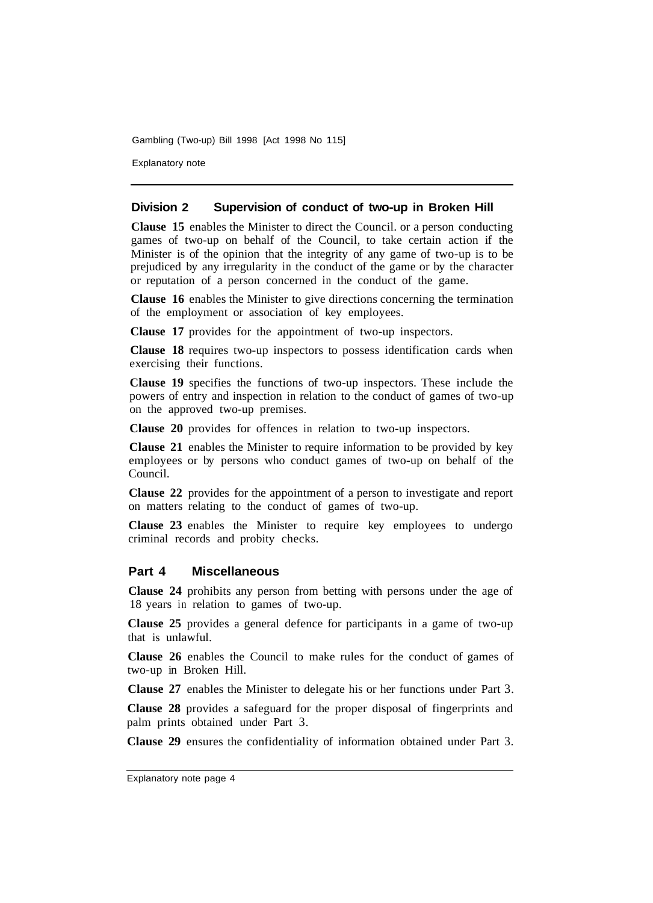Gambling (Two-up) Bill 1998 [Act 1998 No 115]

Explanatory note

#### **Division 2 Supervision of conduct of two-up in Broken Hill**

**Clause 15** enables the Minister to direct the Council. or a person conducting games of two-up on behalf of the Council, to take certain action if the Minister is of the opinion that the integrity of any game of two-up is to be prejudiced by any irregularity in the conduct of the game or by the character or reputation of a person concerned in the conduct of the game.

**Clause 16** enables the Minister to give directions concerning the termination of the employment or association of key employees.

**Clause 17** provides for the appointment of two-up inspectors.

**Clause 18** requires two-up inspectors to possess identification cards when exercising their functions.

**Clause 19** specifies the functions of two-up inspectors. These include the powers of entry and inspection in relation to the conduct of games of two-up on the approved two-up premises.

**Clause 20** provides for offences in relation to two-up inspectors.

**Clause 21** enables the Minister to require information to be provided by key employees or by persons who conduct games of two-up on behalf of the Council.

**Clause 22** provides for the appointment of a person to investigate and report on matters relating to the conduct of games of two-up.

**Clause 23** enables the Minister to require key employees to undergo criminal records and probity checks.

#### **Part 4 Miscellaneous**

**Clause 24** prohibits any person from betting with persons under the age of 18 years in relation to games of two-up.

**Clause 25** provides a general defence for participants in a game of two-up that is unlawful.

**Clause 26** enables the Council to make rules for the conduct of games of two-up in Broken Hill.

**Clause 27** enables the Minister to delegate his or her functions under Part 3.

**Clause 28** provides a safeguard for the proper disposal of fingerprints and palm prints obtained under Part 3.

**Clause 29** ensures the confidentiality of information obtained under Part 3.

Explanatory note page 4